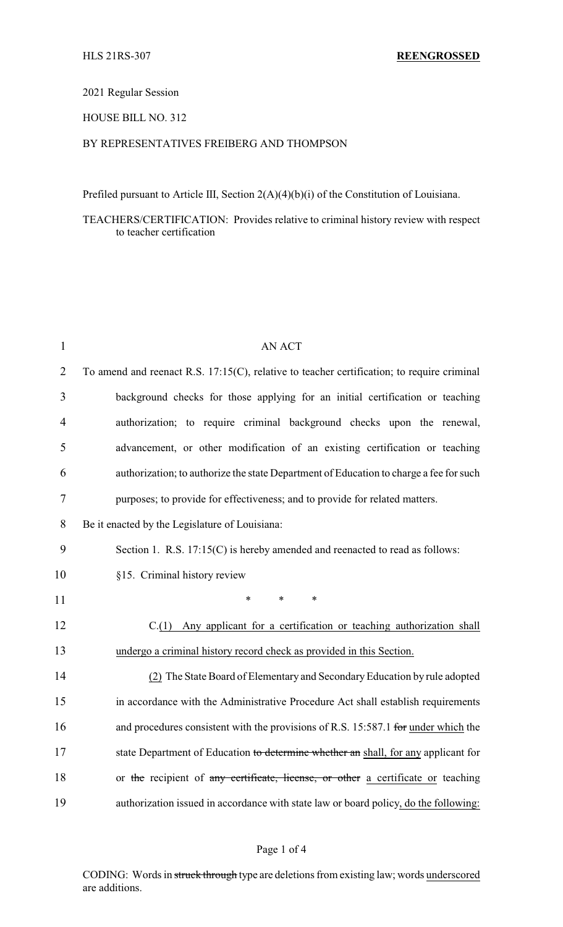# 2021 Regular Session

## HOUSE BILL NO. 312

## BY REPRESENTATIVES FREIBERG AND THOMPSON

Prefiled pursuant to Article III, Section 2(A)(4)(b)(i) of the Constitution of Louisiana.

## TEACHERS/CERTIFICATION: Provides relative to criminal history review with respect to teacher certification

| $\mathbf{1}$   | <b>AN ACT</b>                                                                                 |  |  |  |  |  |  |
|----------------|-----------------------------------------------------------------------------------------------|--|--|--|--|--|--|
| $\overline{2}$ | To amend and reenact R.S. $17:15(C)$ , relative to teacher certification; to require criminal |  |  |  |  |  |  |
| 3              | background checks for those applying for an initial certification or teaching                 |  |  |  |  |  |  |
| $\overline{4}$ | authorization; to require criminal background checks upon the renewal,                        |  |  |  |  |  |  |
| 5              | advancement, or other modification of an existing certification or teaching                   |  |  |  |  |  |  |
| 6              | authorization; to authorize the state Department of Education to charge a fee for such        |  |  |  |  |  |  |
| 7              | purposes; to provide for effectiveness; and to provide for related matters.                   |  |  |  |  |  |  |
| 8              | Be it enacted by the Legislature of Louisiana:                                                |  |  |  |  |  |  |
| 9              | Section 1. R.S. $17:15(C)$ is hereby amended and reenacted to read as follows:                |  |  |  |  |  |  |
| 10             | §15. Criminal history review                                                                  |  |  |  |  |  |  |
| 11             | *<br>$\ast$<br>$\ast$                                                                         |  |  |  |  |  |  |
| 12             | C.(1) Any applicant for a certification or teaching authorization shall                       |  |  |  |  |  |  |
| 13             | undergo a criminal history record check as provided in this Section.                          |  |  |  |  |  |  |
| 14             | (2) The State Board of Elementary and Secondary Education by rule adopted                     |  |  |  |  |  |  |
| 15             | in accordance with the Administrative Procedure Act shall establish requirements              |  |  |  |  |  |  |
| 16             | and procedures consistent with the provisions of R.S. 15:587.1 for under which the            |  |  |  |  |  |  |
| 17             | state Department of Education to determine whether an shall, for any applicant for            |  |  |  |  |  |  |
| 18             | or the recipient of any certificate, license, or other a certificate or teaching              |  |  |  |  |  |  |
| 19             | authorization issued in accordance with state law or board policy, do the following:          |  |  |  |  |  |  |

#### Page 1 of 4

CODING: Words in struck through type are deletions from existing law; words underscored are additions.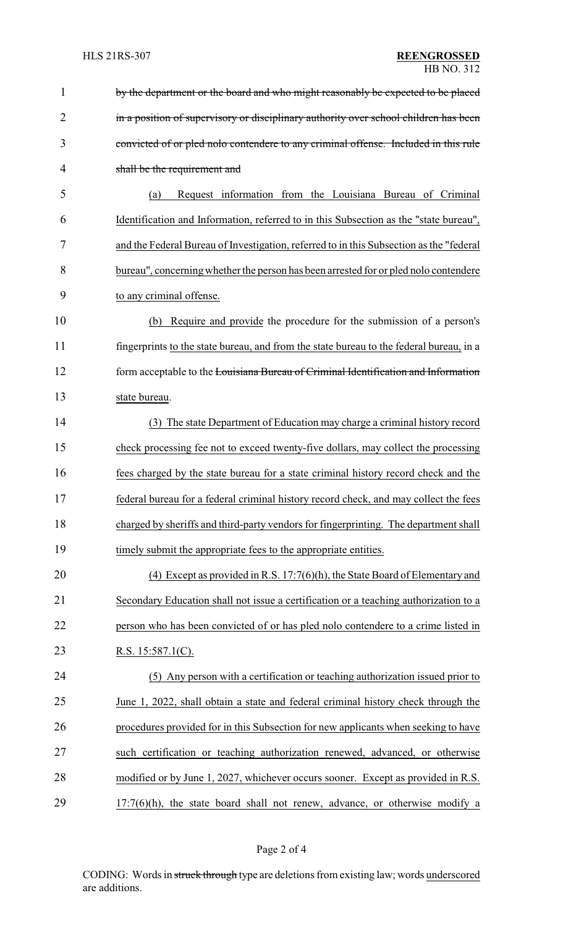| 1              | by the department or the board and who might reasonably be expected to be placed        |
|----------------|-----------------------------------------------------------------------------------------|
| $\overline{2}$ | in a position of supervisory or disciplinary authority over school children has been    |
| 3              | convicted of or pled nolo contendere to any criminal offense. Included in this rule     |
| 4              | shall be the requirement and                                                            |
| 5              | Request information from the Louisiana Bureau of Criminal<br>(a)                        |
| 6              | Identification and Information, referred to in this Subsection as the "state bureau",   |
| 7              | and the Federal Bureau of Investigation, referred to in this Subsection as the "federal |
| 8              | bureau", concerning whether the person has been arrested for or pled nolo contendere    |
| 9              | to any criminal offense.                                                                |
| 10             | Require and provide the procedure for the submission of a person's<br>(b)               |
| 11             | fingerprints to the state bureau, and from the state bureau to the federal bureau, in a |
| 12             | form acceptable to the Louisiana Bureau of Criminal Identification and Information      |
| 13             | state bureau.                                                                           |
| 14             | (3) The state Department of Education may charge a criminal history record              |
| 15             | check processing fee not to exceed twenty-five dollars, may collect the processing      |
| 16             | fees charged by the state bureau for a state criminal history record check and the      |
| 17             | federal bureau for a federal criminal history record check, and may collect the fees    |
| 18             | charged by sheriffs and third-party vendors for fingerprinting. The department shall    |
| 19             | timely submit the appropriate fees to the appropriate entities.                         |
| 20             | (4) Except as provided in R.S. $17:7(6)(h)$ , the State Board of Elementary and         |
| 21             | Secondary Education shall not issue a certification or a teaching authorization to a    |
| 22             | person who has been convicted of or has pled nolo contendere to a crime listed in       |
| 23             | R.S. $15:587.1(C)$ .                                                                    |
| 24             | (5) Any person with a certification or teaching authorization issued prior to           |
| 25             | June 1, 2022, shall obtain a state and federal criminal history check through the       |
| 26             | procedures provided for in this Subsection for new applicants when seeking to have      |
| 27             | such certification or teaching authorization renewed, advanced, or otherwise            |
| 28             | modified or by June 1, 2027, whichever occurs sooner. Except as provided in R.S.        |
| 29             | $17:7(6)(h)$ , the state board shall not renew, advance, or otherwise modify a          |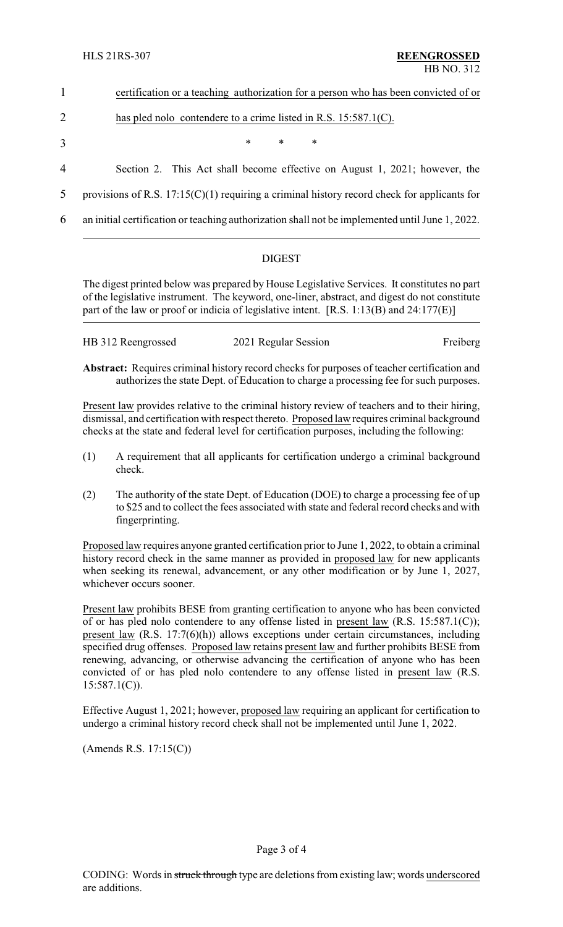| certification or a teaching authorization for a person who has been convicted of or |  |  |  |  |
|-------------------------------------------------------------------------------------|--|--|--|--|
|                                                                                     |  |  |  |  |

# 2 has pled nolo contendere to a crime listed in R.S. 15:587.1(C).

- $3$  \* \* \*
- 4 Section 2. This Act shall become effective on August 1, 2021; however, the
- 5 provisions of R.S.  $17:15(C)(1)$  requiring a criminal history record check for applicants for
- 6 an initial certification or teaching authorization shall not be implemented until June 1, 2022.

# DIGEST

The digest printed below was prepared by House Legislative Services. It constitutes no part of the legislative instrument. The keyword, one-liner, abstract, and digest do not constitute part of the law or proof or indicia of legislative intent. [R.S. 1:13(B) and 24:177(E)]

| HB 312 Reengrossed | 2021 Regular Session | Freiberg |
|--------------------|----------------------|----------|
|                    |                      |          |

**Abstract:** Requires criminal history record checks for purposes of teacher certification and authorizes the state Dept. of Education to charge a processing fee for such purposes.

Present law provides relative to the criminal history review of teachers and to their hiring, dismissal, and certification with respect thereto. Proposed law requires criminal background checks at the state and federal level for certification purposes, including the following:

- (1) A requirement that all applicants for certification undergo a criminal background check.
- (2) The authority of the state Dept. of Education (DOE) to charge a processing fee of up to \$25 and to collect the fees associated with state and federal record checks and with fingerprinting.

Proposed law requires anyone granted certification prior to June 1, 2022, to obtain a criminal history record check in the same manner as provided in proposed law for new applicants when seeking its renewal, advancement, or any other modification or by June 1, 2027, whichever occurs sooner.

Present law prohibits BESE from granting certification to anyone who has been convicted of or has pled nolo contendere to any offense listed in present law (R.S. 15:587.1(C)); present law (R.S. 17:7(6)(h)) allows exceptions under certain circumstances, including specified drug offenses. Proposed law retains present law and further prohibits BESE from renewing, advancing, or otherwise advancing the certification of anyone who has been convicted of or has pled nolo contendere to any offense listed in present law (R.S.  $15:587.1(C)$ ).

Effective August 1, 2021; however, proposed law requiring an applicant for certification to undergo a criminal history record check shall not be implemented until June 1, 2022.

(Amends R.S. 17:15(C))